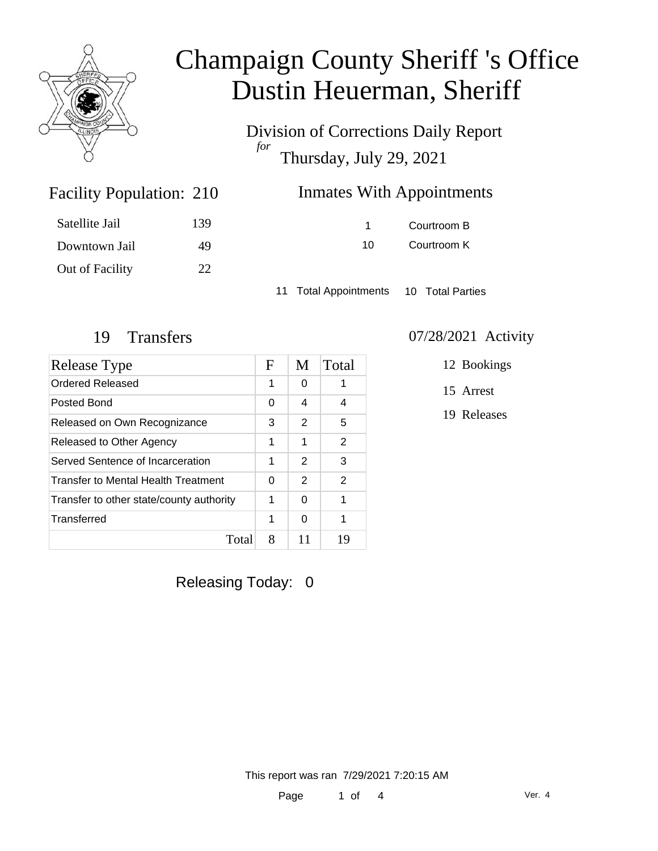

Division of Corrections Daily Report *for* Thursday, July 29, 2021

### Inmates With Appointments

| Satellite Jail  | 139 |
|-----------------|-----|
| Downtown Jail   | 49  |
| Out of Facility | 22  |

Facility Population: 210

1 Courtroom B 10 Courtroom K

11 Total Appointments 10 Total Parties

| Release Type                             | F | M             | Total |
|------------------------------------------|---|---------------|-------|
| <b>Ordered Released</b>                  |   | 0             |       |
| Posted Bond                              |   | 4             | 4     |
| Released on Own Recognizance             |   | 2             | 5     |
| Released to Other Agency                 |   | 1             | 2     |
| Served Sentence of Incarceration         |   | 2             | 3     |
| Transfer to Mental Health Treatment      |   | $\mathcal{P}$ | 2     |
| Transfer to other state/county authority |   | 0             | 1     |
| Transferred                              | 1 | 0             | 1     |
| Total                                    | 8 | 11            | 19    |

### 19 Transfers 07/28/2021 Activity

12 Bookings

15 Arrest

19 Releases

Releasing Today: 0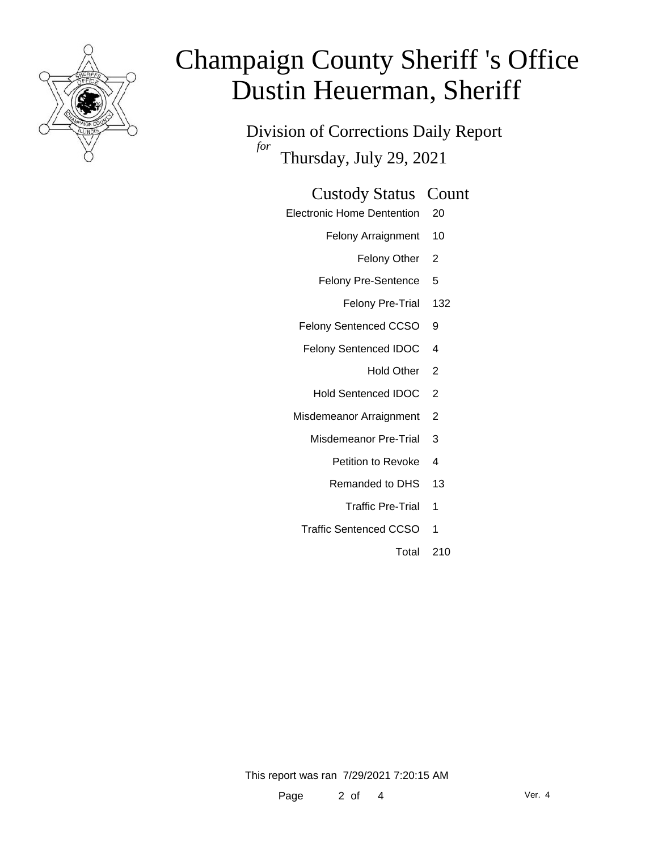

Division of Corrections Daily Report *for* Thursday, July 29, 2021

### Custody Status Count

- Electronic Home Dentention 20
	- Felony Arraignment 10
		- Felony Other 2
	- Felony Pre-Sentence 5
		- Felony Pre-Trial 132
	- Felony Sentenced CCSO 9
	- Felony Sentenced IDOC 4
		- Hold Other 2
		- Hold Sentenced IDOC 2
	- Misdemeanor Arraignment 2
		- Misdemeanor Pre-Trial 3
			- Petition to Revoke 4
			- Remanded to DHS 13
				- Traffic Pre-Trial 1
		- Traffic Sentenced CCSO 1
			- Total 210

This report was ran 7/29/2021 7:20:15 AM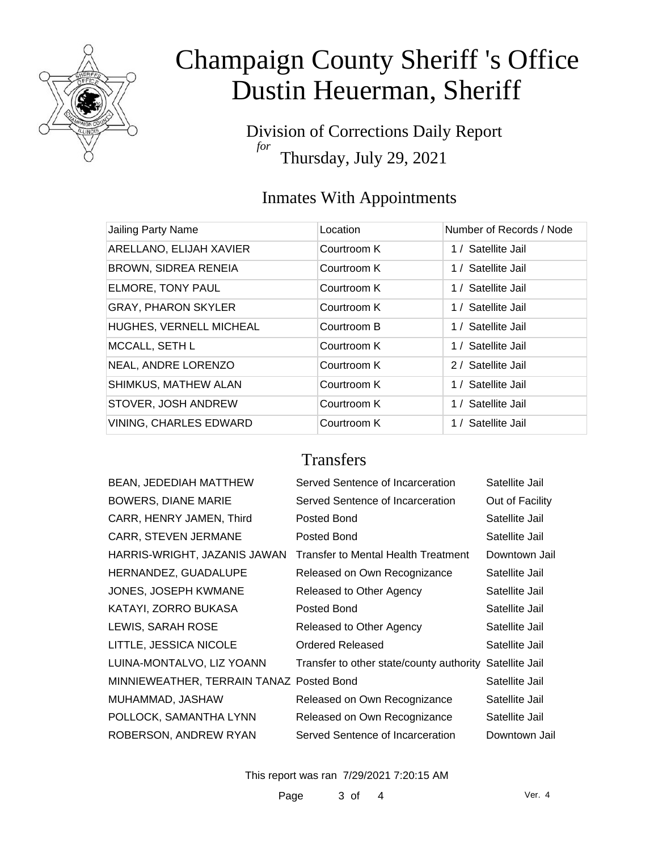

Division of Corrections Daily Report *for* Thursday, July 29, 2021

## Inmates With Appointments

| Jailing Party Name            | Location    | Number of Records / Node |
|-------------------------------|-------------|--------------------------|
| ARELLANO, ELIJAH XAVIER       | Courtroom K | 1 / Satellite Jail       |
| <b>BROWN, SIDREA RENEIA</b>   | Courtroom K | 1 / Satellite Jail       |
| ELMORE, TONY PAUL             | Courtroom K | 1 / Satellite Jail       |
| <b>GRAY, PHARON SKYLER</b>    | Courtroom K | 1 / Satellite Jail       |
| HUGHES, VERNELL MICHEAL       | Courtroom B | 1 / Satellite Jail       |
| MCCALL, SETH L                | Courtroom K | 1 / Satellite Jail       |
| NEAL, ANDRE LORENZO           | Courtroom K | 2 / Satellite Jail       |
| SHIMKUS, MATHEW ALAN          | Courtroom K | 1 / Satellite Jail       |
| STOVER, JOSH ANDREW           | Courtroom K | 1 / Satellite Jail       |
| <b>VINING, CHARLES EDWARD</b> | Courtroom K | 1 / Satellite Jail       |

### **Transfers**

| <b>BEAN, JEDEDIAH MATTHEW</b>            | Served Sentence of Incarceration         | Satellite Jail  |
|------------------------------------------|------------------------------------------|-----------------|
| <b>BOWERS, DIANE MARIE</b>               | Served Sentence of Incarceration         | Out of Facility |
| CARR, HENRY JAMEN, Third                 | Posted Bond                              | Satellite Jail  |
| <b>CARR, STEVEN JERMANE</b>              | Posted Bond                              | Satellite Jail  |
| HARRIS-WRIGHT, JAZANIS JAWAN             | Transfer to Mental Health Treatment      | Downtown Jail   |
| HERNANDEZ, GUADALUPE                     | Released on Own Recognizance             | Satellite Jail  |
| JONES, JOSEPH KWMANE                     | Released to Other Agency                 | Satellite Jail  |
| KATAYI, ZORRO BUKASA                     | Posted Bond                              | Satellite Jail  |
| LEWIS, SARAH ROSE                        | Released to Other Agency                 | Satellite Jail  |
| LITTLE, JESSICA NICOLE                   | Ordered Released                         | Satellite Jail  |
| LUINA-MONTALVO, LIZ YOANN                | Transfer to other state/county authority | Satellite Jail  |
| MINNIEWEATHER, TERRAIN TANAZ Posted Bond |                                          | Satellite Jail  |
| MUHAMMAD, JASHAW                         | Released on Own Recognizance             | Satellite Jail  |
| POLLOCK, SAMANTHA LYNN                   | Released on Own Recognizance             | Satellite Jail  |
| ROBERSON, ANDREW RYAN                    | Served Sentence of Incarceration         | Downtown Jail   |

This report was ran 7/29/2021 7:20:15 AM